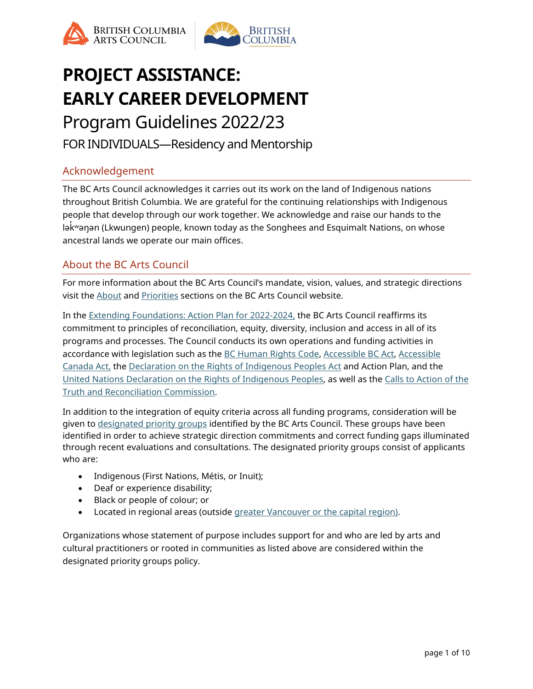



# **PROJECT ASSISTANCE: EARLY CAREER DEVELOPMENT** Program Guidelines 2022/23

FOR INDIVIDUALS—Residency and Mentorship

# Acknowledgement

The BC Arts Council acknowledges it carries out its work on the land of Indigenous nations throughout British Columbia. We are grateful for the continuing relationships with Indigenous people that develop through our work together. We acknowledge and raise our hands to the lək ̓ ʷəŋən (Lkwungen) people, known today as the Songhees and Esquimalt Nations, on whose ancestral lands we operate our main offices.

# About the BC Arts Council

For more information about the BC Arts Council's mandate, vision, values, and strategic directions visit the [About](https://www.bcartscouncil.ca/about/) and [Priorities](https://www.bcartscouncil.ca/priorities/) sections on the BC Arts Council website.

In the [Extending Foundations: Action Plan for 2022-2024,](https://www.bcartscouncil.ca/priorities/) the BC Arts Council reaffirms its commitment to principles of reconciliation, equity, diversity, inclusion and access in all of its programs and processes. The Council conducts its own operations and funding activities in accordance with legislation such as the [BC Human Rights Code,](https://www2.gov.bc.ca/assets/gov/law-crime-and-justice/human-rights/human-rights-protection/what-you-need-to-know.pdf) [Accessible BC Act,](https://www.bclaws.gov.bc.ca/civix/document/id/complete/statreg/21019) Accessible [Canada Act,](https://laws-lois.justice.gc.ca/eng/acts/A-0.6/) the [Declaration on the Rights of Indigenous Peoples Act](https://www.bclaws.gov.bc.ca/civix/document/id/complete/statreg/19044) and Action Plan, and the [United Nations Declaration on the Rights of Indigenous Peoples,](http://www.un.org/esa/socdev/unpfii/documents/DRIPS_en.pdf) as well as the [Calls to Action of the](https://www2.gov.bc.ca/assets/gov/british-columbians-our-governments/indigenous-people/aboriginal-peoples-documents/calls_to_action_english2.pdf)  [Truth and Reconciliation Commission.](https://www2.gov.bc.ca/assets/gov/british-columbians-our-governments/indigenous-people/aboriginal-peoples-documents/calls_to_action_english2.pdf)

In addition to the integration of equity criteria across all funding programs, consideration will be given to [designated priority groups](https://www.bcartscouncil.ca/priorities/priority-groups/) identified by the BC Arts Council. These groups have been identified in order to achieve strategic direction commitments and correct funding gaps illuminated through recent evaluations and consultations. The designated priority groups consist of applicants who are:

- Indigenous (First Nations, Métis, or Inuit);
- Deaf or experience disability;
- Black or people of colour; or
- Located in regional areas (outside [greater Vancouver or the capital region\)](https://www.bcartscouncil.ca/accessibility/glossary/).

Organizations whose statement of purpose includes support for and who are led by arts and cultural practitioners or rooted in communities as listed above are considered within the designated priority groups policy.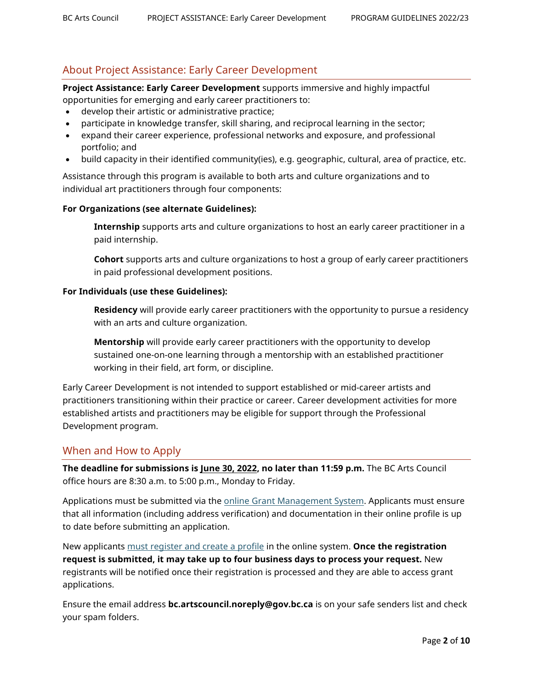# About Project Assistance: Early Career Development

**Project Assistance: Early Career Development** supports immersive and highly impactful opportunities for emerging and early career practitioners to:

- develop their artistic or administrative practice;
- participate in knowledge transfer, skill sharing, and reciprocal learning in the sector;
- expand their career experience, professional networks and exposure, and professional portfolio; and
- build capacity in their identified community(ies), e.g. geographic, cultural, area of practice, etc.

Assistance through this program is available to both arts and culture organizations and to individual art practitioners through four components:

#### **For Organizations (see alternate Guidelines):**

**Internship** supports arts and culture organizations to host an early career practitioner in a paid internship.

**Cohort** supports arts and culture organizations to host a group of early career practitioners in paid professional development positions.

#### **For Individuals (use these Guidelines):**

**Residency** will provide early career practitioners with the opportunity to pursue a residency with an arts and culture organization.

**Mentorship** will provide early career practitioners with the opportunity to develop sustained one-on-one learning through a mentorship with an established practitioner working in their field, art form, or discipline.

Early Career Development is not intended to support established or mid-career artists and practitioners transitioning within their practice or career. Career development activities for more established artists and practitioners may be eligible for support through the Professional Development program.

## When and How to Apply

**The deadline for submissions is June 30, 2022, no later than 11:59 p.m.** The BC Arts Council office hours are 8:30 a.m. to 5:00 p.m., Monday to Friday.

Applications must be submitted via the [online Grant Management System.](https://bcac.smartsimple.ca/s_Login.jsp) Applicants must ensure that all information (including address verification) and documentation in their online profile is up to date before submitting an application.

New applicants [must register and create a profile](https://www.bcartscouncil.ca/how-to-apply-online/) in the online system. **Once the registration request is submitted, it may take up to four business days to process your request.** New registrants will be notified once their registration is processed and they are able to access grant applications.

Ensure the email address **bc.artscouncil.noreply@gov.bc.ca** is on your safe senders list and check your spam folders.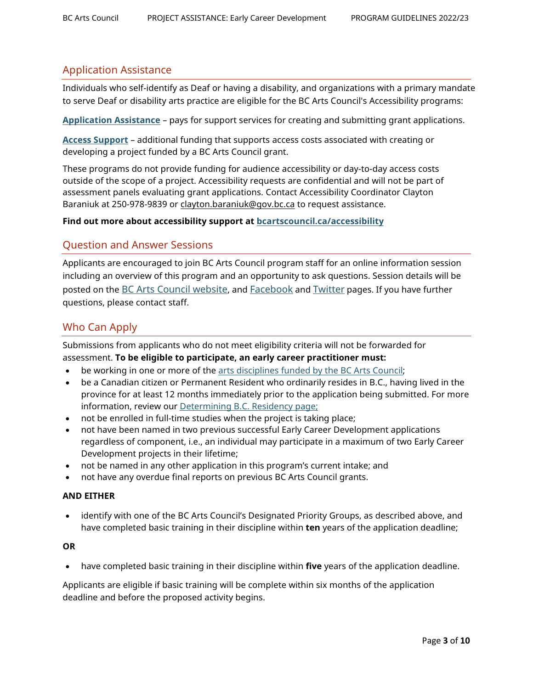## Application Assistance

Individuals who self-identify as Deaf or having a disability, and organizations with a primary mandate to serve Deaf or disability arts practice are eligible for the BC Arts Council's Accessibility programs:

**[Application Assistance](https://www.bcartscouncil.ca/program/application-assistance/)** – pays for support services for creating and submitting grant applications.

**[Access Support](https://www.bcartscouncil.ca/program/access-support)** – additional funding that supports access costs associated with creating or developing a project funded by a BC Arts Council grant.

These programs do not provide funding for audience accessibility or day-to-day access costs outside of the scope of a project. Accessibility requests are confidential and will not be part of assessment panels evaluating grant applications. Contact Accessibility Coordinator Clayton Baraniuk at 250-978-9839 or [clayton.baraniuk@gov.bc.ca](mailto:clayton.baraniuk@gov.bc.ca) to request assistance.

#### **Find out more about accessibility support at [bcartscouncil.ca/accessibility](http://www.bcartscouncil.ca/accessibility)**

## Question and Answer Sessions

Applicants are encouraged to join BC Arts Council program staff for an online information session including an overview of this program and an opportunity to ask questions. Session details will be posted on the [BC Arts Council website,](https://www.bcartscouncil.ca/news/) and [Facebook](https://www.facebook.com/BritishColumbiaArtsCouncil) an[d Twitter](https://twitter.com/BCArtsCouncil) pages. If you have further questions, please contact staff.

## Who Can Apply

Submissions from applicants who do not meet eligibility criteria will not be forwarded for assessment. **To be eligible to participate, an early career practitioner must:**

- be working in one or more of the [arts disciplines funded by the BC Arts Council;](https://www.bcartscouncil.ca/disciplines-and-practices/)
- be a Canadian citizen or Permanent Resident who ordinarily resides in B.C., having lived in the province for at least 12 months immediately prior to the application being submitted. For more information, review our [Determining B.C. Residency page;](https://www.bcartscouncil.ca/determining-b-c-residency/)
- not be enrolled in full-time studies when the project is taking place;
- not have been named in two previous successful Early Career Development applications regardless of component, i.e., an individual may participate in a maximum of two Early Career Development projects in their lifetime;
- not be named in any other application in this program's current intake; and
- not have any overdue final reports on previous BC Arts Council grants.

#### **AND EITHER**

• identify with one of the BC Arts Council's Designated Priority Groups, as described above, and have completed basic training in their discipline within **ten** years of the application deadline;

#### **OR**

• have completed basic training in their discipline within **five** years of the application deadline.

Applicants are eligible if basic training will be complete within six months of the application deadline and before the proposed activity begins.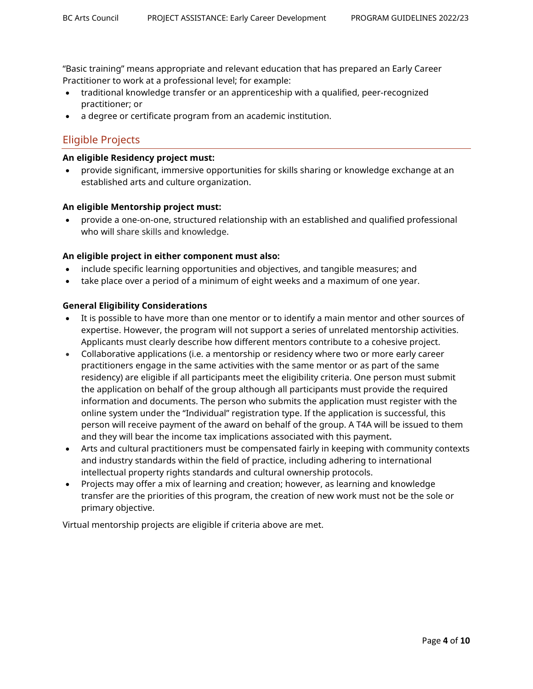"Basic training" means appropriate and relevant education that has prepared an Early Career Practitioner to work at a professional level; for example:

- traditional knowledge transfer or an apprenticeship with a qualified, peer-recognized practitioner; or
- a degree or certificate program from an academic institution.

# Eligible Projects

#### **An eligible Residency project must:**

• provide significant, immersive opportunities for skills sharing or knowledge exchange at an established arts and culture organization.

#### **An eligible Mentorship project must:**

• provide a one-on-one, structured relationship with an established and qualified professional who will share skills and knowledge.

#### **An eligible project in either component must also:**

- include specific learning opportunities and objectives, and tangible measures; and
- take place over a period of a minimum of eight weeks and a maximum of one year.

#### **General Eligibility Considerations**

- It is possible to have more than one mentor or to identify a main mentor and other sources of expertise. However, the program will not support a series of unrelated mentorship activities. Applicants must clearly describe how different mentors contribute to a cohesive project.
- Collaborative applications (i.e. a mentorship or residency where two or more early career practitioners engage in the same activities with the same mentor or as part of the same residency) are eligible if all participants meet the eligibility criteria. One person must submit the application on behalf of the group although all participants must provide the required information and documents. The person who submits the application must register with the online system under the "Individual" registration type. If the application is successful, this person will receive payment of the award on behalf of the group. A T4A will be issued to them and they will bear the income tax implications associated with this payment**.**
- Arts and cultural practitioners must be compensated fairly in keeping with community contexts and industry standards within the field of practice, including adhering to international intellectual property rights standards and cultural ownership protocols.
- Projects may offer a mix of learning and creation; however, as learning and knowledge transfer are the priorities of this program, the creation of new work must not be the sole or primary objective.

Virtual mentorship projects are eligible if criteria above are met.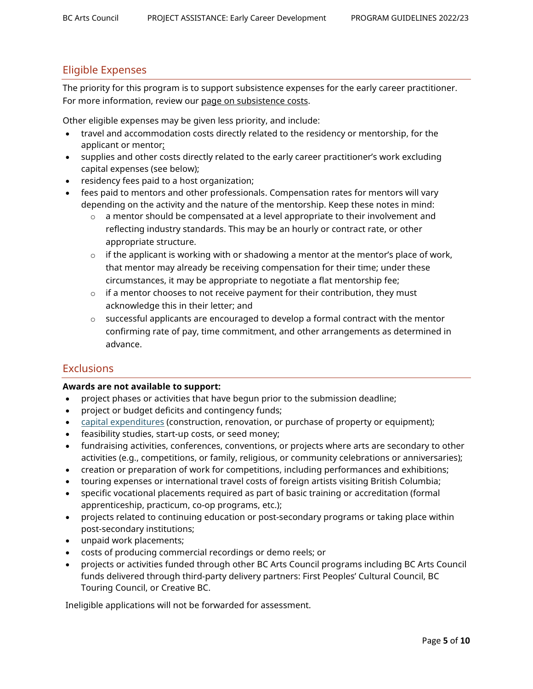## Eligible Expenses

The priority for this program is to support subsistence expenses for the early career practitioner. For more information, review our [page on subsistence costs.](https://www.bcartscouncil.ca/what-are-subsistence-costs/)

Other eligible expenses may be given less priority, and include:

- travel and accommodation costs directly related to the residency or mentorship, for the applicant or mentor;
- supplies and other costs directly related to the early career practitioner's work excluding capital expenses (see below);
- residency fees paid to a host organization;
- fees paid to mentors and other professionals. Compensation rates for mentors will vary depending on the activity and the nature of the mentorship. Keep these notes in mind:
	- $\circ$  a mentor should be compensated at a level appropriate to their involvement and reflecting industry standards. This may be an hourly or contract rate, or other appropriate structure.
	- $\circ$  if the applicant is working with or shadowing a mentor at the mentor's place of work, that mentor may already be receiving compensation for their time; under these circumstances, it may be appropriate to negotiate a flat mentorship fee;
	- $\circ$  if a mentor chooses to not receive payment for their contribution, they must acknowledge this in their letter; and
	- $\circ$  successful applicants are encouraged to develop a formal contract with the mentor confirming rate of pay, time commitment, and other arrangements as determined in advance.

## **Exclusions**

#### **Awards are not available to support:**

- project phases or activities that have begun prior to the submission deadline;
- project or budget deficits and contingency funds;
- [capital expenditures](https://www.bcartscouncil.ca/what-are-capital-expenses/) (construction, renovation, or purchase of property or equipment);
- feasibility studies, start-up costs, or seed money;
- fundraising activities, conferences, conventions, or projects where arts are secondary to other activities (e.g., competitions, or family, religious, or community celebrations or anniversaries);
- creation or preparation of work for competitions, including performances and exhibitions;
- touring expenses or international travel costs of foreign artists visiting British Columbia;
- specific vocational placements required as part of basic training or accreditation (formal apprenticeship, practicum, co-op programs, etc.);
- projects related to continuing education or post-secondary programs or taking place within post-secondary institutions;
- unpaid work placements;
- costs of producing commercial recordings or demo reels; or
- projects or activities funded through other BC Arts Council programs including BC Arts Council funds delivered through third-party delivery partners: First Peoples' Cultural Council, BC Touring Council, or Creative BC.

Ineligible applications will not be forwarded for assessment.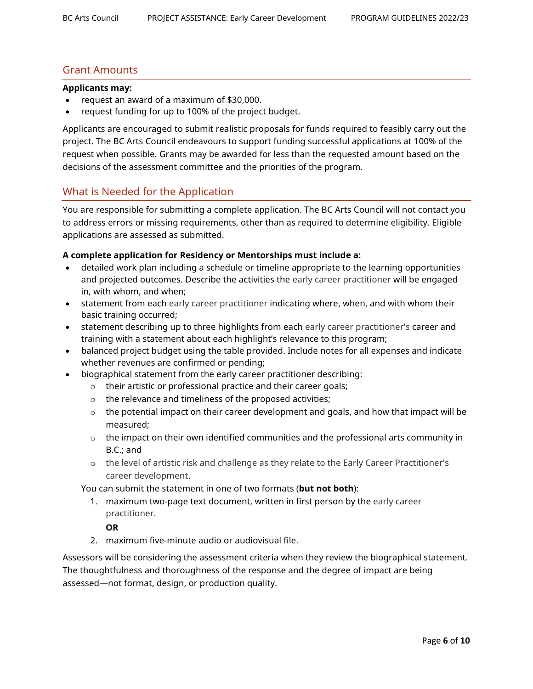## Grant Amounts

#### **Applicants may:**

- request an award of a maximum of \$30,000.
- request funding for up to 100% of the project budget.

Applicants are encouraged to submit realistic proposals for funds required to feasibly carry out the project. The BC Arts Council endeavours to support funding successful applications at 100% of the request when possible. Grants may be awarded for less than the requested amount based on the decisions of the assessment committee and the priorities of the program.

## What is Needed for the Application

You are responsible for submitting a complete application. The BC Arts Council will not contact you to address errors or missing requirements, other than as required to determine eligibility. Eligible applications are assessed as submitted.

#### **A complete application for Residency or Mentorships must include a:**

- detailed work plan including a schedule or timeline appropriate to the learning opportunities and projected outcomes. Describe the activities the early career practitioner will be engaged in, with whom, and when;
- statement from each early career practitioner indicating where, when, and with whom their basic training occurred;
- statement describing up to three highlights from each early career practitioner's career and training with a statement about each highlight's relevance to this program;
- balanced project budget using the table provided. Include notes for all expenses and indicate whether revenues are confirmed or pending;
- biographical statement from the early career practitioner describing:
	- $\circ$  their artistic or professional practice and their career goals;
	- o the relevance and timeliness of the proposed activities;
	- $\circ$  the potential impact on their career development and goals, and how that impact will be measured;
	- o the impact on their own identified communities and the professional arts community in B.C.; and
	- o the level of artistic risk and challenge as they relate to the Early Career Practitioner's career development.

You can submit the statement in one of two formats (**but not both**):

1. maximum two-page text document, written in first person by the early career practitioner.

#### **OR**

2. maximum five-minute audio or audiovisual file.

Assessors will be considering the assessment criteria when they review the biographical statement. The thoughtfulness and thoroughness of the response and the degree of impact are being assessed—not format, design, or production quality.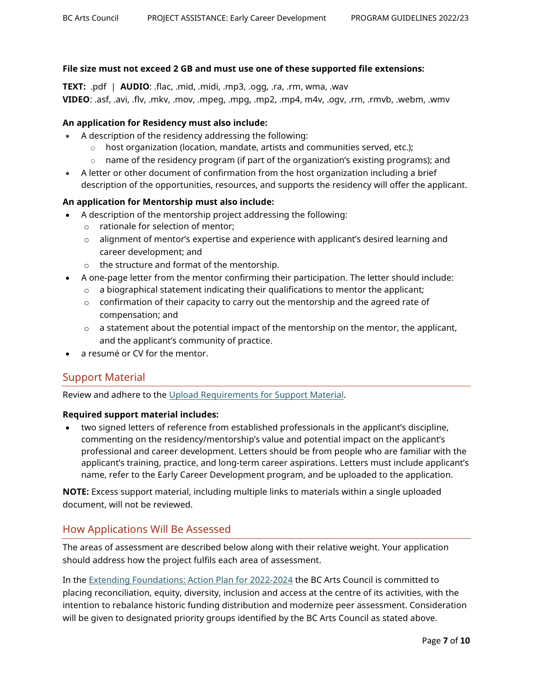#### **File size must not exceed 2 GB and must use one of these supported file extensions:**

**TEXT:** .pdf | **AUDIO**: .flac, .mid, .midi, .mp3, .ogg, .ra, .rm, wma, .wav **VIDEO**: .asf, .avi, .flv, .mkv, .mov, .mpeg, .mpg, .mp2, .mp4, m4v, .ogv, .rm, .rmvb, .webm, .wmv

#### **An application for Residency must also include:**

- A description of the residency addressing the following:
	- $\circ$  host organization (location, mandate, artists and communities served, etc.);
	- $\circ$  name of the residency program (if part of the organization's existing programs); and
- A letter or other document of confirmation from the host organization including a brief description of the opportunities, resources, and supports the residency will offer the applicant.

#### **An application for Mentorship must also include:**

- A description of the mentorship project addressing the following:
	- o rationale for selection of mentor;
	- o alignment of mentor's expertise and experience with applicant's desired learning and career development; and
	- o the structure and format of the mentorship.
- A one-page letter from the mentor confirming their participation. The letter should include:
	- $\circ$  a biographical statement indicating their qualifications to mentor the applicant;
	- $\circ$  confirmation of their capacity to carry out the mentorship and the agreed rate of compensation; and
	- $\circ$  a statement about the potential impact of the mentorship on the mentor, the applicant, and the applicant's community of practice.
- a resumé or CV for the mentor.

## Support Material

Review and adhere to the [Upload Requirements for Support Material.](https://www.bcartscouncil.ca/app/uploads/sites/508/2022/04/upload-requirements-for-supporting-material.pdf)

#### **Required support material includes:**

• two signed letters of reference from established professionals in the applicant's discipline, commenting on the residency/mentorship's value and potential impact on the applicant's professional and career development. Letters should be from people who are familiar with the applicant's training, practice, and long-term career aspirations. Letters must include applicant's name, refer to the Early Career Development program, and be uploaded to the application.

**NOTE:** Excess support material, including multiple links to materials within a single uploaded document, will not be reviewed.

#### How Applications Will Be Assessed

The areas of assessment are described below along with their relative weight. Your application should address how the project fulfils each area of assessment.

In the [Extending Foundations: Action Plan for 2022-2024](https://www.bcartscouncil.ca/priorities/) the BC Arts Council is committed to placing reconciliation, equity, diversity, inclusion and access at the centre of its activities, with the intention to rebalance historic funding distribution and modernize peer assessment. Consideration will be given to designated priority groups identified by the BC Arts Council as stated above.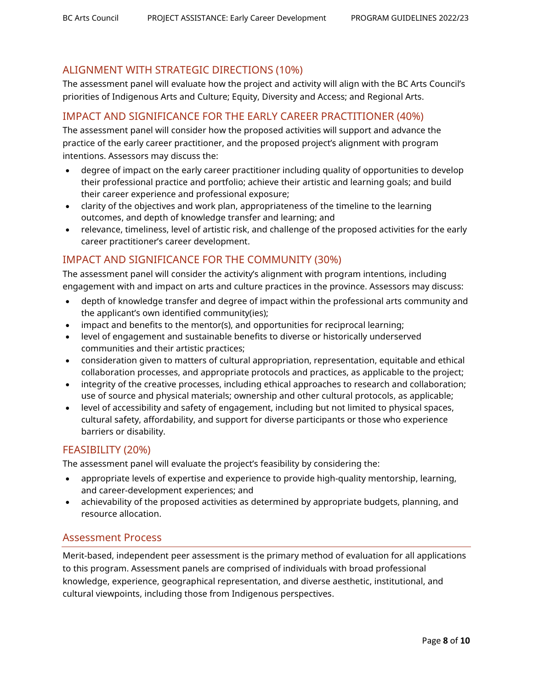# ALIGNMENT WITH STRATEGIC DIRECTIONS (10%)

The assessment panel will evaluate how the project and activity will align with the BC Arts Council's priorities of Indigenous Arts and Culture; Equity, Diversity and Access; and Regional Arts.

# IMPACT AND SIGNIFICANCE FOR THE EARLY CAREER PRACTITIONER (40%)

The assessment panel will consider how the proposed activities will support and advance the practice of the early career practitioner, and the proposed project's alignment with program intentions. Assessors may discuss the:

- degree of impact on the early career practitioner including quality of opportunities to develop their professional practice and portfolio; achieve their artistic and learning goals; and build their career experience and professional exposure;
- clarity of the objectives and work plan, appropriateness of the timeline to the learning outcomes, and depth of knowledge transfer and learning; and
- relevance, timeliness, level of artistic risk, and challenge of the proposed activities for the early career practitioner's career development.

# IMPACT AND SIGNIFICANCE FOR THE COMMUNITY (30%)

The assessment panel will consider the activity's alignment with program intentions, including engagement with and impact on arts and culture practices in the province. Assessors may discuss:

- depth of knowledge transfer and degree of impact within the professional arts community and the applicant's own identified community(ies);
- impact and benefits to the mentor(s), and opportunities for reciprocal learning;
- level of engagement and sustainable benefits to diverse or historically underserved communities and their artistic practices;
- consideration given to matters of cultural appropriation, representation, equitable and ethical collaboration processes, and appropriate protocols and practices, as applicable to the project;
- integrity of the creative processes, including ethical approaches to research and collaboration; use of source and physical materials; ownership and other cultural protocols, as applicable;
- level of accessibility and safety of engagement, including but not limited to physical spaces, cultural safety, affordability, and support for diverse participants or those who experience barriers or disability.

## FEASIBILITY (20%)

The assessment panel will evaluate the project's feasibility by considering the:

- appropriate levels of expertise and experience to provide high-quality mentorship, learning, and career-development experiences; and
- achievability of the proposed activities as determined by appropriate budgets, planning, and resource allocation.

## Assessment Process

Merit-based, independent peer assessment is the primary method of evaluation for all applications to this program. Assessment panels are comprised of individuals with broad professional knowledge, experience, geographical representation, and diverse aesthetic, institutional, and cultural viewpoints, including those from Indigenous perspectives.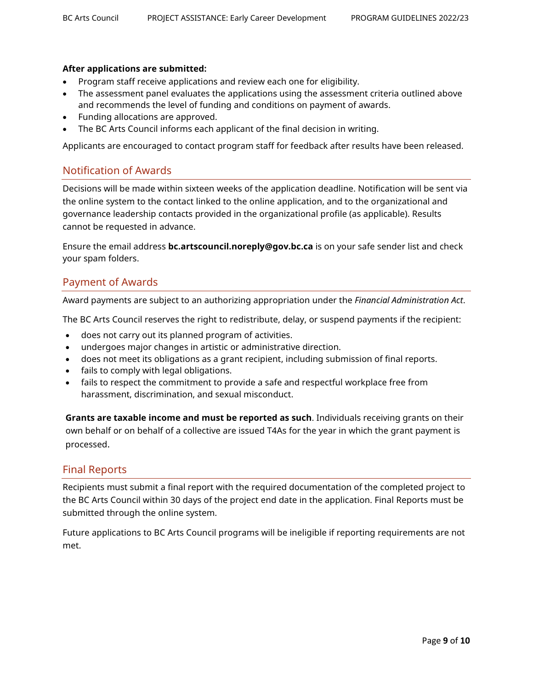#### **After applications are submitted:**

- Program staff receive applications and review each one for eligibility.
- The assessment panel evaluates the applications using the assessment criteria outlined above and recommends the level of funding and conditions on payment of awards.
- Funding allocations are approved.
- The BC Arts Council informs each applicant of the final decision in writing.

Applicants are encouraged to contact program staff for feedback after results have been released.

## Notification of Awards

Decisions will be made within sixteen weeks of the application deadline. Notification will be sent via the online system to the contact linked to the online application, and to the organizational and governance leadership contacts provided in the organizational profile (as applicable). Results cannot be requested in advance.

Ensure the email address **bc.artscouncil.noreply@gov.bc.ca** is on your safe sender list and check your spam folders.

## Payment of Awards

Award payments are subject to an authorizing appropriation under the *Financial Administration Act*.

The BC Arts Council reserves the right to redistribute, delay, or suspend payments if the recipient:

- does not carry out its planned program of activities.
- undergoes major changes in artistic or administrative direction.
- does not meet its obligations as a grant recipient, including submission of final reports.
- fails to comply with legal obligations.
- fails to respect the commitment to provide a safe and respectful workplace free from harassment, discrimination, and sexual misconduct.

**Grants are taxable income and must be reported as such**. Individuals receiving grants on their own behalf or on behalf of a collective are issued T4As for the year in which the grant payment is processed.

#### Final Reports

Recipients must submit a final report with the required documentation of the completed project to the BC Arts Council within 30 days of the project end date in the application. Final Reports must be submitted through the online system.

Future applications to BC Arts Council programs will be ineligible if reporting requirements are not met.